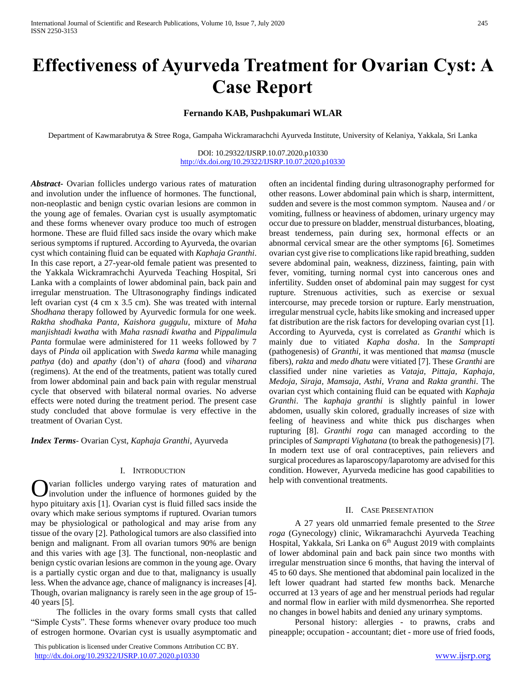# **Effectiveness of Ayurveda Treatment for Ovarian Cyst: A Case Report**

# **Fernando KAB, Pushpakumari WLAR**

Department of Kawmarabrutya & Stree Roga, Gampaha Wickramarachchi Ayurveda Institute, University of Kelaniya, Yakkala, Sri Lanka

DOI: 10.29322/IJSRP.10.07.2020.p10330 <http://dx.doi.org/10.29322/IJSRP.10.07.2020.p10330>

*Abstract***-** Ovarian follicles undergo various rates of maturation and involution under the influence of hormones. The functional, non-neoplastic and benign cystic ovarian lesions are common in the young age of females. Ovarian cyst is usually asymptomatic and these forms whenever ovary produce too much of estrogen hormone. These are fluid filled sacs inside the ovary which make serious symptoms if ruptured. According to Ayurveda, the ovarian cyst which containing fluid can be equated with *Kaphaja Granthi*. In this case report, a 27-year-old female patient was presented to the Yakkala Wickramrachchi Ayurveda Teaching Hospital, Sri Lanka with a complaints of lower abdominal pain, back pain and irregular menstruation. The Ultrasonography findings indicated left ovarian cyst (4 cm x 3.5 cm). She was treated with internal *Shodhana* therapy followed by Ayurvedic formula for one week. *Raktha shodhaka Panta*, *Kaishora guggulu*, mixture of *Maha manjishtadi kwatha* with *Maha rasnadi kwatha* and *Pippalimula Panta* formulae were administered for 11 weeks followed by 7 days of *Pinda* oil application with *Sweda karma* while managing *pathya* (do) and *apathy* (don't) of *ahara* (food) and *viharana* (regimens)*.* At the end of the treatments, patient was totally cured from lower abdominal pain and back pain with regular menstrual cycle that observed with bilateral normal ovaries. No adverse effects were noted during the treatment period. The present case study concluded that above formulae is very effective in the treatment of Ovarian Cyst.

*Index Terms*- Ovarian Cyst, *Kaphaja Granthi*, Ayurveda

#### I. INTRODUCTION

varian follicles undergo varying rates of maturation and involution under the influence of hormones guided by the hypo pituitary axis [1]. Ovarian cyst is fluid filled sacs inside the ovary which make serious symptoms if ruptured. Ovarian tumors may be physiological or pathological and may arise from any tissue of the ovary [2]. Pathological tumors are also classified into benign and malignant. From all ovarian tumors 90% are benign and this varies with age [3]. The functional, non-neoplastic and benign cystic ovarian lesions are common in the young age. Ovary is a partially cystic organ and due to that, malignancy is usually less. When the advance age, chance of malignancy is increases [4]. Though, ovarian malignancy is rarely seen in the age group of 15- 40 years [5]. O

 The follicles in the ovary forms small cysts that called "Simple Cysts". These forms whenever ovary produce too much of estrogen hormone. Ovarian cyst is usually asymptomatic and

 This publication is licensed under Creative Commons Attribution CC BY. <http://dx.doi.org/10.29322/IJSRP.10.07.2020.p10330> [www.ijsrp.org](http://ijsrp.org/)

often an incidental finding during ultrasonography performed for other reasons. Lower abdominal pain which is sharp, intermittent, sudden and severe is the most common symptom. Nausea and / or vomiting, fullness or heaviness of abdomen, urinary urgency may occur due to pressure on bladder, menstrual disturbances, bloating, breast tenderness, pain during sex, hormonal effects or an abnormal cervical smear are the other symptoms [6]. Sometimes ovarian cyst give rise to complications like rapid breathing, sudden severe abdominal pain, weakness, dizziness, fainting, pain with fever, vomiting, turning normal cyst into cancerous ones and infertility. Sudden onset of abdominal pain may suggest for cyst rupture. Strenuous activities, such as exercise or sexual intercourse, may precede torsion or rupture. Early menstruation, irregular menstrual cycle, habits like smoking and increased upper fat distribution are the risk factors for developing ovarian cyst [1]. According to Ayurveda, cyst is correlated as *Granthi* which is mainly due to vitiated *Kapha dosha*. In the *Samprapti* (pathogenesis) of *Granthi,* it was mentioned that *mamsa* (muscle fibers), *rakta* and *medo dhatu* were vitiated [7]. These *Granthi* are classified under nine varieties as *Vataja, Pittaja, Kaphaja, Medoja, Siraja, Mamsaja, Asthi, Vrana* and *Rakta granthi*. The ovarian cyst which containing fluid can be equated with *Kaphaja Granthi*. The *kaphaja granthi* is slightly painful in lower abdomen, usually skin colored, gradually increases of size with feeling of heaviness and white thick pus discharges when rupturing [8]. *Granthi roga* can managed according to the principles of *Samprapti Vighatana* (to break the pathogenesis) [7]. In modern text use of oral contraceptives, pain relievers and surgical procedures as laparoscopy/laparotomy are advised for this condition. However, Ayurveda medicine has good capabilities to help with conventional treatments.

#### II. CASE PRESENTATION

 A 27 years old unmarried female presented to the *Stree roga* (Gynecology) clinic, Wikramarachchi Ayurveda Teaching Hospital, Yakkala, Sri Lanka on 6<sup>th</sup> August 2019 with complaints of lower abdominal pain and back pain since two months with irregular menstruation since 6 months, that having the interval of 45 to 60 days. She mentioned that abdominal pain localized in the left lower quadrant had started few months back. Menarche occurred at 13 years of age and her menstrual periods had regular and normal flow in earlier with mild dysmenorrhea. She reported no changes in bowel habits and denied any urinary symptoms.

 Personal history: allergies - to prawns, crabs and pineapple; occupation - accountant; diet - more use of fried foods,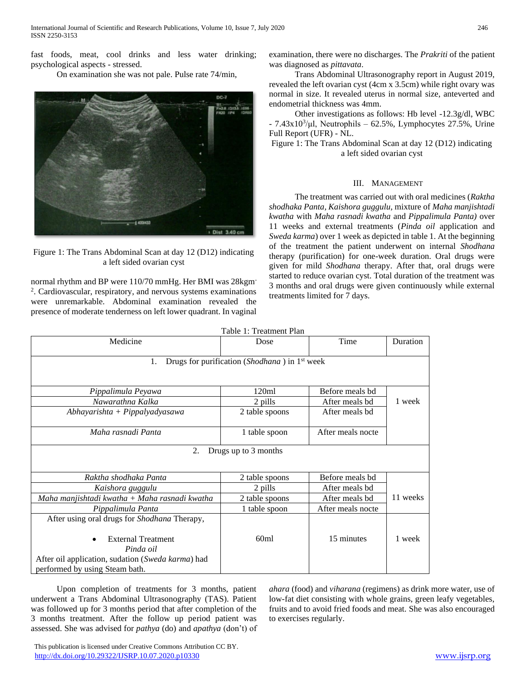fast foods, meat, cool drinks and less water drinking; psychological aspects - stressed.

On examination she was not pale. Pulse rate 74/min,



Figure 1: The Trans Abdominal Scan at day 12 (D12) indicating a left sided ovarian cyst

normal rhythm and BP were 110/70 mmHg. Her BMI was 28kgm-2 . Cardiovascular, respiratory, and nervous systems examinations were unremarkable. Abdominal examination revealed the presence of moderate tenderness on left lower quadrant. In vaginal examination, there were no discharges. The *Prakriti* of the patient was diagnosed as *pittavata*.

 Trans Abdominal Ultrasonography report in August 2019, revealed the left ovarian cyst (4cm x 3.5cm) while right ovary was normal in size. It revealed uterus in normal size, anteverted and endometrial thickness was 4mm.

 Other investigations as follows: Hb level -12.3g/dl, WBC  $-7.43x10<sup>3</sup>/\mu$ l, Neutrophils  $-62.5\%$ , Lymphocytes 27.5%, Urine Full Report (UFR) - NL.

Figure 1: The Trans Abdominal Scan at day 12 (D12) indicating a left sided ovarian cyst

## III. MANAGEMENT

 The treatment was carried out with oral medicines (*Raktha shodhaka Panta, Kaishora guggulu,* mixture of *Maha manjishtadi kwatha* with *Maha rasnadi kwatha* and *Pippalimula Panta)* over 11 weeks and external treatments (*Pinda oil* application and *Sweda karma*) over 1 week as depicted in table 1. At the beginning of the treatment the patient underwent on internal *Shodhana*  therapy (purification) for one-week duration. Oral drugs were given for mild *Shodhana* therapy. After that, oral drugs were started to reduce ovarian cyst. Total duration of the treatment was 3 months and oral drugs were given continuously while external treatments limited for 7 days.

| Table 1: Treatment Plan                                         |                |                   |          |
|-----------------------------------------------------------------|----------------|-------------------|----------|
| Medicine                                                        | Dose           | Time              | Duration |
|                                                                 |                |                   |          |
| Drugs for purification (Shodhana) in 1 <sup>st</sup> week<br>1. |                |                   |          |
|                                                                 |                |                   |          |
|                                                                 |                |                   |          |
| Pippalimula Peyawa                                              | 120ml          | Before meals bd   |          |
| Nawarathna Kalka                                                | 2 pills        | After meals bd    | 1 week   |
| Abhayarishta + Pippalyadyasawa                                  | 2 table spoons | After meals bd    |          |
|                                                                 |                |                   |          |
| Maha rasnadi Panta                                              | 1 table spoon  | After meals nocte |          |
| Drugs up to 3 months<br>2.                                      |                |                   |          |
|                                                                 |                |                   |          |
|                                                                 |                |                   |          |
| Raktha shodhaka Panta                                           | 2 table spoons | Before meals bd   |          |
| Kaishora guggulu                                                | 2 pills        | After meals bd    |          |
| Maha manjishtadi kwatha + Maha rasnadi kwatha                   | 2 table spoons | After meals bd    | 11 weeks |
| Pippalimula Panta                                               | 1 table spoon  | After meals nocte |          |
| After using oral drugs for Shodhana Therapy,                    |                |                   |          |
|                                                                 |                |                   |          |
| <b>External Treatment</b>                                       | 60ml           | 15 minutes        | 1 week   |
| Pinda oil                                                       |                |                   |          |
| After oil application, sudation (Sweda karma) had               |                |                   |          |
| performed by using Steam bath.                                  |                |                   |          |

 Upon completion of treatments for 3 months, patient underwent a Trans Abdominal Ultrasonography (TAS). Patient was followed up for 3 months period that after completion of the 3 months treatment. After the follow up period patient was assessed. She was advised for *pathya* (do) and *apathya* (don't) of *ahara* (food) and *viharana* (regimens) as drink more water, use of low-fat diet consisting with whole grains, green leafy vegetables, fruits and to avoid fried foods and meat. She was also encouraged to exercises regularly.

 This publication is licensed under Creative Commons Attribution CC BY. <http://dx.doi.org/10.29322/IJSRP.10.07.2020.p10330> [www.ijsrp.org](http://ijsrp.org/)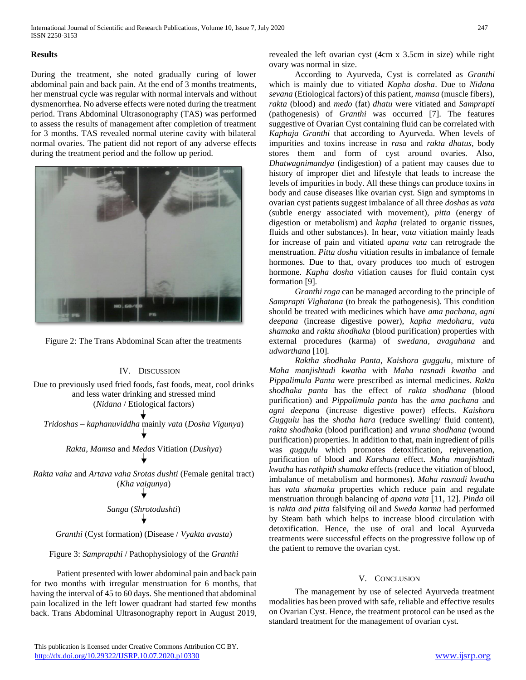## **Results**

During the treatment, she noted gradually curing of lower abdominal pain and back pain. At the end of 3 months treatments, her menstrual cycle was regular with normal intervals and without dysmenorrhea. No adverse effects were noted during the treatment period. Trans Abdominal Ultrasonography (TAS) was performed to assess the results of management after completion of treatment for 3 months. TAS revealed normal uterine cavity with bilateral normal ovaries. The patient did not report of any adverse effects during the treatment period and the follow up period.



Figure 2: The Trans Abdominal Scan after the treatments

#### IV. DISCUSSION

Due to previously used fried foods, fast foods, meat, cool drinks and less water drinking and stressed mind (*Nidana* / Etiological factors) *Tridoshas – kaphanuviddha* mainly *vata* (*Dosha Vigunya*) *Rakta*, *Mamsa* and *Medas* Vitiation (*Dushya*) *Rakta vaha* and *Artava vaha Srotas dushti* (Female genital tract) (*Kha vaigunya*)

*Sanga* (*Shrotodushti*)

#### *Granthi* (Cyst formation) (Disease / *Vyakta avasta*)

Figure 3: *Samprapthi* / Pathophysiology of the *Granthi*

 Patient presented with lower abdominal pain and back pain for two months with irregular menstruation for 6 months, that having the interval of 45 to 60 days. She mentioned that abdominal pain localized in the left lower quadrant had started few months back. Trans Abdominal Ultrasonography report in August 2019, revealed the left ovarian cyst (4cm x 3.5cm in size) while right ovary was normal in size.

 According to Ayurveda, Cyst is correlated as *Granthi* which is mainly due to vitiated *Kapha dosha*. Due to *Nidana sevana* (Etiological factors) of this patient, *mamsa* (muscle fibers), *rakta* (blood) and *medo* (fat) *dhatu* were vitiated and *Samprapti* (pathogenesis) of *Granthi* was occurred [7]. The features suggestive of Ovarian Cyst containing fluid can be correlated with *Kaphaja Granthi* that according to Ayurveda. When levels of impurities and toxins increase in *rasa* and *rakta dhatus*, body stores them and form of cyst around ovaries. Also, *Dhatwagnimandya* (indigestion) of a patient may causes due to history of improper diet and lifestyle that leads to increase the levels of impurities in body. All these things can produce toxins in body and cause diseases like ovarian cyst. Sign and symptoms in ovarian cyst patients suggest imbalance of all three *doshas* as *vata*  (subtle energy associated with movement), *pitta* (energy of digestion or metabolism) and *kapha* (related to organic tissues, fluids and other substances). In hear, *vata* vitiation mainly leads for increase of pain and vitiated *apana vata* can retrograde the menstruation. *Pitta dosha* vitiation results in imbalance of female hormones. Due to that, ovary produces too much of estrogen hormone. *Kapha dosha* vitiation causes for fluid contain cyst formation [9].

 *Granthi roga* can be managed according to the principle of *Samprapti Vighatana* (to break the pathogenesis). This condition should be treated with medicines which have *ama pachana*, *agni deepana* (increase digestive power), *kapha medohara*, *vata shamaka* and *rakta shodhaka* (blood purification) properties with external procedures (karma) of *swedana, avagahana* and *udwarthana* [10].

 *Raktha shodhaka Panta*, *Kaishora guggulu*, mixture of *Maha manjishtadi kwatha* with *Maha rasnadi kwatha* and *Pippalimula Panta* were prescribed as internal medicines. *Rakta shodhaka panta* has the effect of *rakta shodhana* (blood purification) and *Pippalimula panta* has the *ama pachana* and *agni deepana* (increase digestive power) effects. *Kaishora Guggulu* has the *shotha hara* (reduce swelling/ fluid content), *rakta shodhaka* (blood purification) and *vruna shodhana* (wound purification) properties. In addition to that, main ingredient of pills was *guggulu* which promotes detoxification, rejuvenation, purification of blood and *Karshana* effect. *Maha manjishtadi kwatha* has *rathpith shamaka* effects (reduce the vitiation of blood, imbalance of metabolism and hormones). *Maha rasnadi kwatha* has *vata shamaka* properties which reduce pain and regulate menstruation through balancing of *apana vata* [11, 12]*. Pinda* oil is *rakta and pitta* falsifying oil and *Sweda karma* had performed by Steam bath which helps to increase blood circulation with detoxification. Hence, the use of oral and local Ayurveda treatments were successful effects on the progressive follow up of the patient to remove the ovarian cyst.

# V. CONCLUSION

 The management by use of selected Ayurveda treatment modalities has been proved with safe, reliable and effective results on Ovarian Cyst. Hence, the treatment protocol can be used as the standard treatment for the management of ovarian cyst.